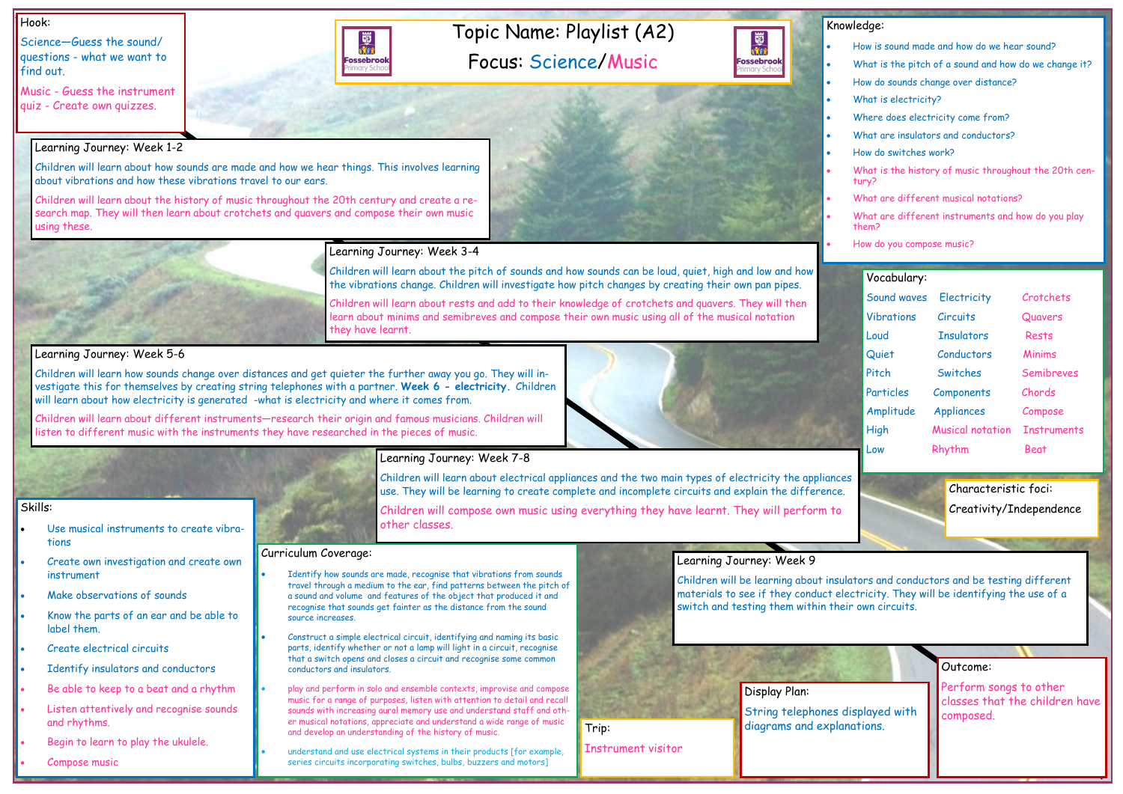Topic Name: Playlist (A2)

Focus: Science/Music

#### Hook:

Science—Guess the sound/ questions - what we want to find out.



|                          | Outcome:                                                              |
|--------------------------|-----------------------------------------------------------------------|
| isplayed with<br>ations. | Perform songs to other<br>classes that the children have<br>composed. |

#### Knowledge:

蜀池

**Fossebrool** 

- How is sound made and how do we hear sound? What is the pitch of a sound and how do we change it? • How do sounds change over distance? What is electricity? Where does electricity come from? What are insulators and conductors? • How do switches work? • What is the history of music throughout the 20th century? • What are different musical notations?
- What are different instruments and how do you play them?

• How do you compose music?

Skills:

- Use musical instruments to create vibrations
- Create own investigation and create own instrument
- Make observations of sounds
- Know the parts of an ear and be able to label them.
- Create electrical circuits
- Identify insulators and conductors
- Be able to keep to a beat and a rhythm
- Listen attentively and recognise sounds and rhythms.
- Begin to learn to play the ukulele.
- Compose music

#### Learning Journey: Week 1-2

Children will learn about how sounds are made and how we hear things. This involves learning about vibrations and how these vibrations travel to our ears.

Children will learn about the history of music throughout the 20th century and create a research map. They will then learn about crotchets and quavers and compose their own music using these.



國流行

**Fossebrook** 

Children will learn about the pitch of sounds and how sounds can be loud, quiet, high and low and how the vibrations change. Children will investigate how pitch changes by creating their own pan pipes.

Identify how sounds are made, recognise that vibrations from sounds travel through a medium to the ear, find patterns between the pitch of a sound and volume and features of the object that produced it and recognise that sounds get fainter as the distance from the sound source increases.

Children will learn about rests and add to their knowledge of crotchets and quavers. They will then learn about minims and semibreves and compose their own music using all of the musical notation they have learnt.

#### Learning Journey: Week 5-6

Children will learn how sounds change over distances and get quieter the further away you go. They will investigate this for themselves by creating string telephones with a partner. **Week 6 - electricity.** Children will learn about how electricity is generated -what is electricity and where it comes from.

Children will learn about different instruments—research their origin and famous musicians. Children will listen to different music with the instruments they have researched in the pieces of music.

## Learning Journey: Week 7-8

Children will learn about electrical appliances and the two main types of electricity the appliances use. They will be learning to create complete and incomplete circuits and explain the difference.

Children will compose own music using everything they have learnt. They will perform to

other classes.

#### Learning Journey: Week 9

Children will be learning about insulators and conductors and be testing different materials to see if they conduct electricity. They will be identifying the use of a switch and testing them within their own circuits.

#### Curriculum Coverage:

- Construct a simple electrical circuit, identifying and naming its basic parts, identify whether or not a lamp will light in a circuit, recognise that a switch opens and closes a circuit and recognise some common conductors and insulators.
- play and perform in solo and ensemble contexts, improvise and compose music for a range of purposes, listen with attention to detail and recall sounds with increasing aural memory use and understand staff and other musical notations, appreciate and understand a wide range of music and develop an understanding of the history of music.
- understand and use electrical systems in their products [for example, series circuits incorporating switches, bulbs, buzzers and motors]

### Vocabulary: Sound waves Electricity Crotchets Vibrations Circuits Quavers Loud Insulators Rests Quiet Conductors Minims Pitch Switches Semibreves Particles Components Chords Amplitude Appliances Compose High Musical notation Instruments Low Rhythm Beat



Instrument visitor

String telephones d Trip: and the state of the diagrams and explan Characteristic foci: Creativity/Independence